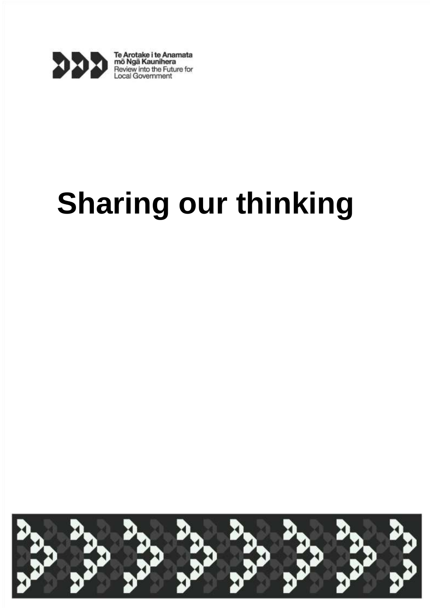

Te Arotake i te Anamata<br>mõ Ngã Kaunihera<br>Review into the Future for<br>Local Government

# **Sharing our thinking**

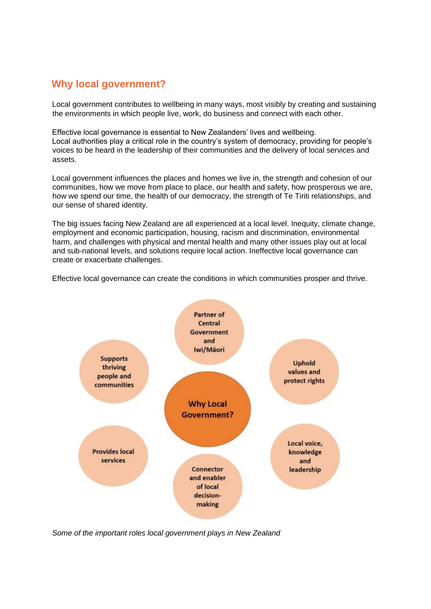# **Why local government?**

Local government contributes to wellbeing in many ways, most visibly by creating and sustaining the environments in which people live, work, do business and connect with each other.

Effective local governance is essential to New Zealanders' lives and wellbeing. Local authorities play a critical role in the country's system of democracy, providing for people's voices to be heard in the leadership of their communities and the delivery of local services and assets.

Local government influences the places and homes we live in, the strength and cohesion of our communities, how we move from place to place, our health and safety, how prosperous we are, how we spend our time, the health of our democracy, the strength of Te Tiriti relationships, and our sense of shared identity.

The big issues facing New Zealand are all experienced at a local level. Inequity, climate change, employment and economic participation, housing, racism and discrimination, environmental harm, and challenges with physical and mental health and many other issues play out at local and sub-national levels, and solutions require local action. Ineffective local governance can create or exacerbate challenges.

Effective local governance can create the conditions in which communities prosper and thrive.



*Some of the important roles local government plays in New Zealand*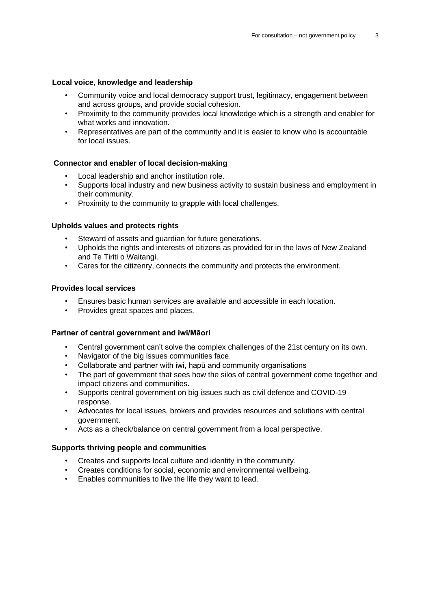## **Local voice, knowledge and leadership**

- Community voice and local democracy support trust, legitimacy, engagement between and across groups, and provide social cohesion.
- Proximity to the community provides local knowledge which is a strength and enabler for what works and innovation.
- Representatives are part of the community and it is easier to know who is accountable for local issues.

# **Connector and enabler of local decision-making**

- Local leadership and anchor institution role.
- Supports local industry and new business activity to sustain business and employment in their community.
- Proximity to the community to grapple with local challenges.

## **Upholds values and protects rights**

- Steward of assets and quardian for future generations.
- Upholds the rights and interests of citizens as provided for in the laws of New Zealand and Te Tiriti o Waitangi.
- Cares for the citizenry, connects the community and protects the environment.

## **Provides local services**

- Ensures basic human services are available and accessible in each location.
- Provides great spaces and places.

#### **Partner of central government and iwi/Māori**

- Central government can't solve the complex challenges of the 21st century on its own.
- Navigator of the big issues communities face.
- Collaborate and partner with iwi, hapū and community organisations
- The part of government that sees how the silos of central government come together and impact citizens and communities.
- Supports central government on big issues such as civil defence and COVID-19 response.
- Advocates for local issues, brokers and provides resources and solutions with central government.
- Acts as a check/balance on central government from a local perspective.

#### **Supports thriving people and communities**

- Creates and supports local culture and identity in the community.
- Creates conditions for social, economic and environmental wellbeing.
- Enables communities to live the life they want to lead.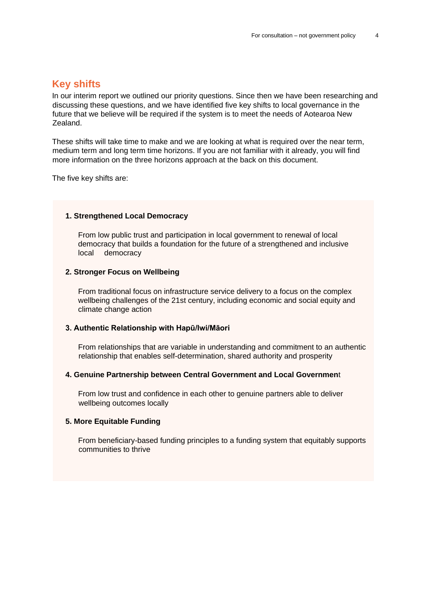# **Key shifts**

In our interim report we outlined our priority questions. Since then we have been researching and discussing these questions, and we have identified five key shifts to local governance in the future that we believe will be required if the system is to meet the needs of Aotearoa New Zealand.

These shifts will take time to make and we are looking at what is required over the near term, medium term and long term time horizons. If you are not familiar with it already, you will find more information on the three horizons approach at the back on this document.

The five key shifts are:

#### **1. Strengthened Local Democracy**

From low public trust and participation in local government to renewal of local democracy that builds a foundation for the future of a strengthened and inclusive local democracy

#### **2. Stronger Focus on Wellbeing**

From traditional focus on infrastructure service delivery to a focus on the complex wellbeing challenges of the 21st century, including economic and social equity and climate change action

#### **3. Authentic Relationship with Hapū/Iwi/Māori**

From relationships that are variable in understanding and commitment to an authentic relationship that enables self-determination, shared authority and prosperity

#### **4. Genuine Partnership between Central Government and Local Governmen**t

From low trust and confidence in each other to genuine partners able to deliver wellbeing outcomes locally

#### **5. More Equitable Funding**

From beneficiary-based funding principles to a funding system that equitably supports communities to thrive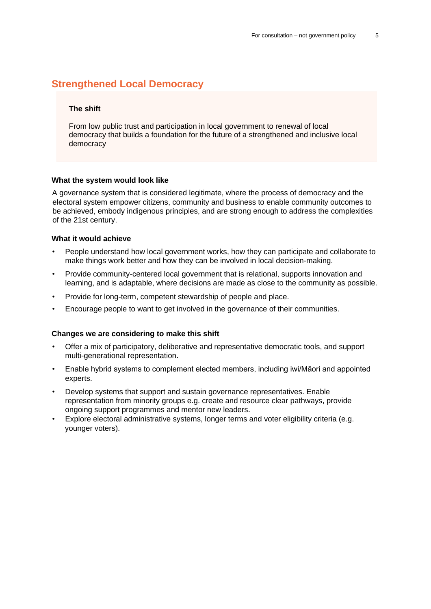# **Strengthened Local Democracy**

# **The shift**

From low public trust and participation in local government to renewal of local democracy that builds a foundation for the future of a strengthened and inclusive local democracy

#### **What the system would look like**

A governance system that is considered legitimate, where the process of democracy and the electoral system empower citizens, community and business to enable community outcomes to be achieved, embody indigenous principles, and are strong enough to address the complexities of the 21st century.

#### **What it would achieve**

- People understand how local government works, how they can participate and collaborate to make things work better and how they can be involved in local decision-making.
- Provide community-centered local government that is relational, supports innovation and learning, and is adaptable, where decisions are made as close to the community as possible.
- Provide for long-term, competent stewardship of people and place.
- Encourage people to want to get involved in the governance of their communities.

- Offer a mix of participatory, deliberative and representative democratic tools, and support multi-generational representation.
- Enable hybrid systems to complement elected members, including iwi/Māori and appointed experts.
- Develop systems that support and sustain governance representatives. Enable representation from minority groups e.g. create and resource clear pathways, provide ongoing support programmes and mentor new leaders.
- Explore electoral administrative systems, longer terms and voter eligibility criteria (e.g. younger voters).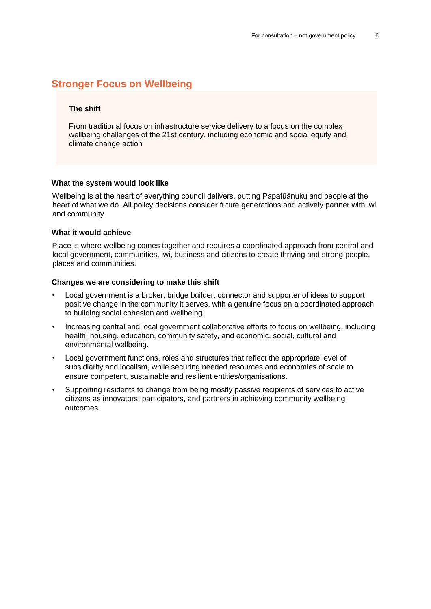# **Stronger Focus on Wellbeing**

## **The shift**

From traditional focus on infrastructure service delivery to a focus on the complex wellbeing challenges of the 21st century, including economic and social equity and climate change action

#### **What the system would look like**

Wellbeing is at the heart of everything council delivers, putting Papatūānuku and people at the heart of what we do. All policy decisions consider future generations and actively partner with iwi and community.

#### **What it would achieve**

Place is where wellbeing comes together and requires a coordinated approach from central and local government, communities, iwi, business and citizens to create thriving and strong people, places and communities.

- Local government is a broker, bridge builder, connector and supporter of ideas to support positive change in the community it serves, with a genuine focus on a coordinated approach to building social cohesion and wellbeing.
- Increasing central and local government collaborative efforts to focus on wellbeing, including health, housing, education, community safety, and economic, social, cultural and environmental wellbeing.
- Local government functions, roles and structures that reflect the appropriate level of subsidiarity and localism, while securing needed resources and economies of scale to ensure competent, sustainable and resilient entities/organisations.
- Supporting residents to change from being mostly passive recipients of services to active citizens as innovators, participators, and partners in achieving community wellbeing outcomes.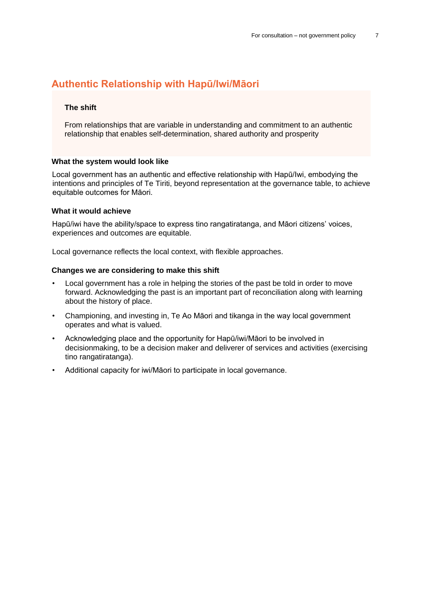# **Authentic Relationship with Hapū/Iwi/Māori**

## **The shift**

From relationships that are variable in understanding and commitment to an authentic relationship that enables self-determination, shared authority and prosperity

#### **What the system would look like**

Local government has an authentic and effective relationship with Hapū/Iwi, embodying the intentions and principles of Te Tiriti, beyond representation at the governance table, to achieve equitable outcomes for Māori.

### **What it would achieve**

Hapū/iwi have the ability/space to express tino rangatiratanga, and Māori citizens' voices, experiences and outcomes are equitable.

Local governance reflects the local context, with flexible approaches.

- Local government has a role in helping the stories of the past be told in order to move forward. Acknowledging the past is an important part of reconciliation along with learning about the history of place.
- Championing, and investing in, Te Ao Māori and tikanga in the way local government operates and what is valued.
- Acknowledging place and the opportunity for Hapū/iwi/Māori to be involved in decisionmaking, to be a decision maker and deliverer of services and activities (exercising tino rangatiratanga).
- Additional capacity for iwi/Māori to participate in local governance.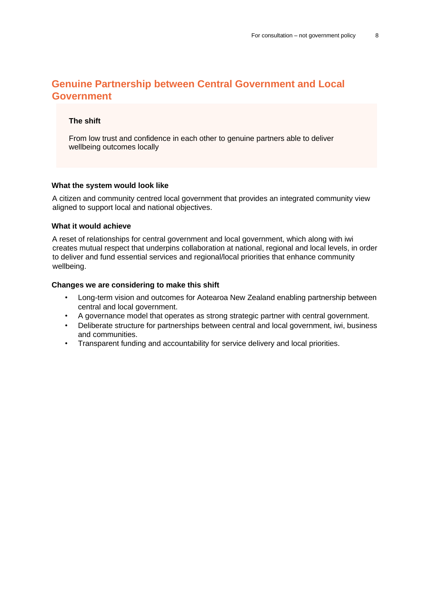# **Genuine Partnership between Central Government and Local Government**

# **The shift**

From low trust and confidence in each other to genuine partners able to deliver wellbeing outcomes locally

#### **What the system would look like**

A citizen and community centred local government that provides an integrated community view aligned to support local and national objectives.

### **What it would achieve**

A reset of relationships for central government and local government, which along with iwi creates mutual respect that underpins collaboration at national, regional and local levels, in order to deliver and fund essential services and regional/local priorities that enhance community wellbeing.

- Long-term vision and outcomes for Aotearoa New Zealand enabling partnership between central and local government.
- A governance model that operates as strong strategic partner with central government.
- Deliberate structure for partnerships between central and local government, iwi, business and communities.
- Transparent funding and accountability for service delivery and local priorities.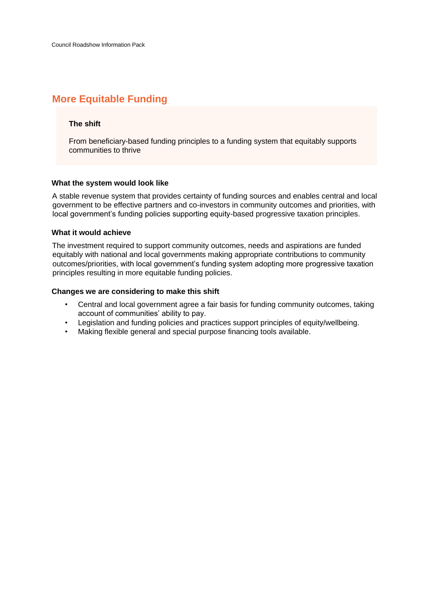# **More Equitable Funding**

# **The shift**

From beneficiary-based funding principles to a funding system that equitably supports communities to thrive

## **What the system would look like**

A stable revenue system that provides certainty of funding sources and enables central and local government to be effective partners and co-investors in community outcomes and priorities, with local government's funding policies supporting equity-based progressive taxation principles.

## **What it would achieve**

The investment required to support community outcomes, needs and aspirations are funded equitably with national and local governments making appropriate contributions to community outcomes/priorities, with local government's funding system adopting more progressive taxation principles resulting in more equitable funding policies.

- Central and local government agree a fair basis for funding community outcomes, taking account of communities' ability to pay.
- Legislation and funding policies and practices support principles of equity/wellbeing.
- Making flexible general and special purpose financing tools available.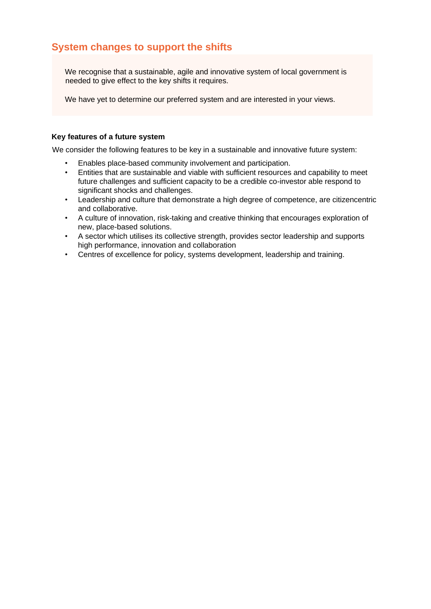# **System changes to support the shifts**

We recognise that a sustainable, agile and innovative system of local government is needed to give effect to the key shifts it requires.

We have yet to determine our preferred system and are interested in your views.

# **Key features of a future system**

We consider the following features to be key in a sustainable and innovative future system:

- Enables place-based community involvement and participation.
- Entities that are sustainable and viable with sufficient resources and capability to meet future challenges and sufficient capacity to be a credible co-investor able respond to significant shocks and challenges.
- Leadership and culture that demonstrate a high degree of competence, are citizencentric and collaborative.
- A culture of innovation, risk-taking and creative thinking that encourages exploration of new, place-based solutions.
- A sector which utilises its collective strength, provides sector leadership and supports high performance, innovation and collaboration
- Centres of excellence for policy, systems development, leadership and training.